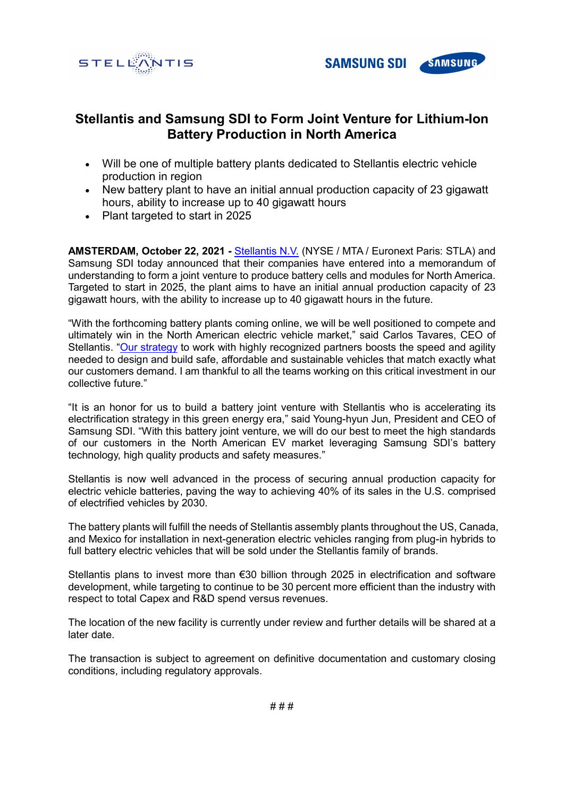



## **Stellantis and Samsung SDI to Form Joint Venture for Lithium-Ion Battery Production in North America**

- Will be one of multiple battery plants dedicated to Stellantis electric vehicle production in region
- New battery plant to have an initial annual production capacity of 23 gigawatt hours, ability to increase up to 40 gigawatt hours
- Plant targeted to start in 2025

**AMSTERDAM, October 22, 2021 -** [Stellantis N.V.](https://www.stellantis.com/en) (NYSE / MTA / Euronext Paris: STLA) and Samsung SDI today announced that their companies have entered into a memorandum of understanding to form a joint venture to produce battery cells and modules for North America. Targeted to start in 2025, the plant aims to have an initial annual production capacity of 23 gigawatt hours, with the ability to increase up to 40 gigawatt hours in the future.

"With the forthcoming battery plants coming online, we will be well positioned to compete and ultimately win in the North American electric vehicle market," said Carlos Tavares, CEO of Stellantis. ["Our strategy](https://www.stellantis.com/en/investors/events/ev-day-2021) to work with highly recognized partners boosts the speed and agility needed to design and build safe, affordable and sustainable vehicles that match exactly what our customers demand. I am thankful to all the teams working on this critical investment in our collective future."

"It is an honor for us to build a battery joint venture with Stellantis who is accelerating its electrification strategy in this green energy era," said Young-hyun Jun, President and CEO of Samsung SDI. "With this battery joint venture, we will do our best to meet the high standards of our customers in the North American EV market leveraging Samsung SDI's battery technology, high quality products and safety measures."

Stellantis is now well advanced in the process of securing annual production capacity for electric vehicle batteries, paving the way to achieving 40% of its sales in the U.S. comprised of electrified vehicles by 2030.

The battery plants will fulfill the needs of Stellantis assembly plants throughout the US, Canada, and Mexico for installation in next-generation electric vehicles ranging from plug-in hybrids to full battery electric vehicles that will be sold under the Stellantis family of brands.

Stellantis plans to invest more than €30 billion through 2025 in electrification and software development, while targeting to continue to be 30 percent more efficient than the industry with respect to total Capex and R&D spend versus revenues.

The location of the new facility is currently under review and further details will be shared at a later date.

The transaction is subject to agreement on definitive documentation and customary closing conditions, including regulatory approvals.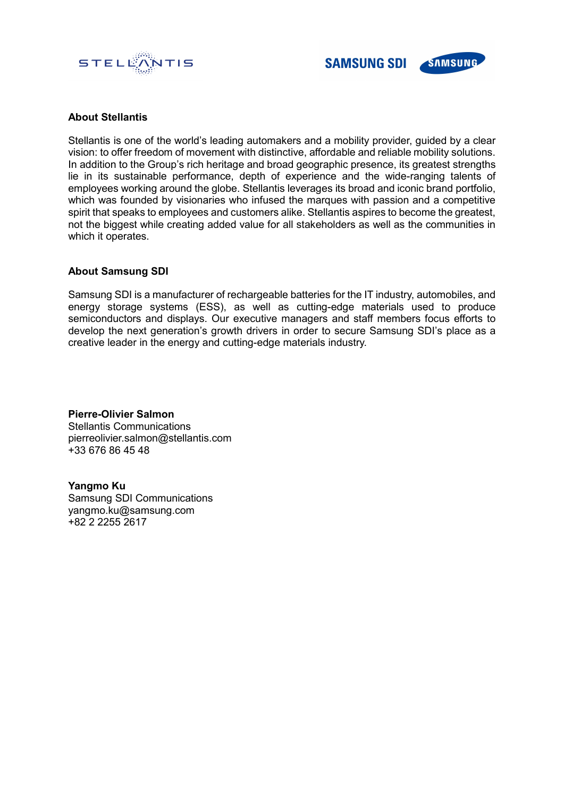



## **About Stellantis**

Stellantis is one of the world's leading automakers and a mobility provider, guided by a clear vision: to offer freedom of movement with distinctive, affordable and reliable mobility solutions. In addition to the Group's rich heritage and broad geographic presence, its greatest strengths lie in its sustainable performance, depth of experience and the wide-ranging talents of employees working around the globe. Stellantis leverages its broad and iconic brand portfolio, which was founded by visionaries who infused the marques with passion and a competitive spirit that speaks to employees and customers alike. Stellantis aspires to become the greatest, not the biggest while creating added value for all stakeholders as well as the communities in which it operates.

## **About Samsung SDI**

Samsung SDI is a manufacturer of rechargeable batteries for the IT industry, automobiles, and energy storage systems (ESS), as well as cutting-edge materials used to produce semiconductors and displays. Our executive managers and staff members focus efforts to develop the next generation's growth drivers in order to secure Samsung SDI's place as a creative leader in the energy and cutting-edge materials industry.

**Pierre-Olivier Salmon** Stellantis Communications pierreolivier.salmon@stellantis.com +33 676 86 45 48

**Yangmo Ku** Samsung SDI Communications yangmo.ku@samsung.com +82 2 2255 2617